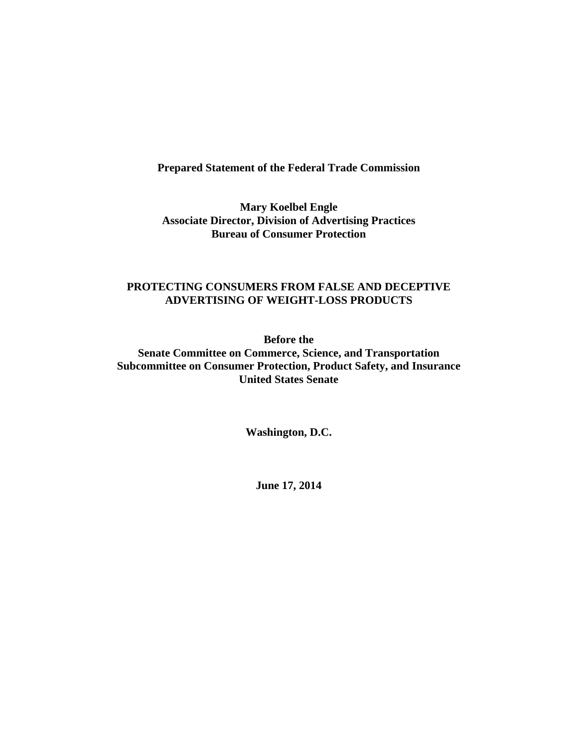# **Prepared Statement of the Federal Trade Commission**

**Mary Koelbel Engle Associate Director, Division of Advertising Practices Bureau of Consumer Protection** 

## **PROTECTING CONSUMERS FROM FALSE AND DECEPTIVE ADVERTISING OF WEIGHT-LOSS PRODUCTS**

**Before the** 

**Senate Committee on Commerce, Science, and Transportation Subcommittee on Consumer Protection, Product Safety, and Insurance United States Senate** 

**Washington, D.C.** 

**June 17, 2014**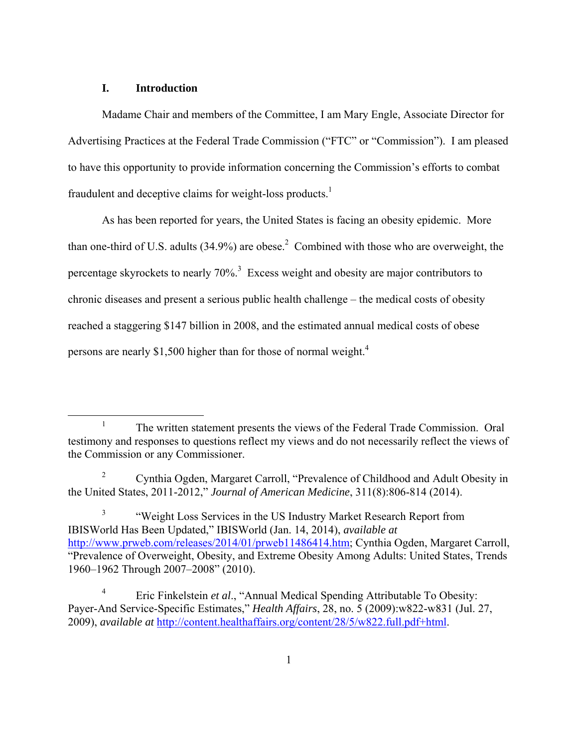### **I. Introduction**

Madame Chair and members of the Committee, I am Mary Engle, Associate Director for Advertising Practices at the Federal Trade Commission ("FTC" or "Commission"). I am pleased to have this opportunity to provide information concerning the Commission's efforts to combat fraudulent and deceptive claims for weight-loss products.<sup>1</sup>

As has been reported for years, the United States is facing an obesity epidemic. More than one-third of U.S. adults  $(34.9\%)$  are obese.<sup>2</sup> Combined with those who are overweight, the percentage skyrockets to nearly  $70\%$ <sup>3</sup>. Excess weight and obesity are major contributors to chronic diseases and present a serious public health challenge – the medical costs of obesity reached a staggering \$147 billion in 2008, and the estimated annual medical costs of obese persons are nearly \$1,500 higher than for those of normal weight.<sup>4</sup>

<sup>&</sup>lt;u>1</u>  $T<sup>1</sup>$  The written statement presents the views of the Federal Trade Commission. Oral testimony and responses to questions reflect my views and do not necessarily reflect the views of the Commission or any Commissioner.

<sup>2</sup> Cynthia Ogden, Margaret Carroll, "Prevalence of Childhood and Adult Obesity in the United States, 2011-2012," *Journal of American Medicine*, 311(8):806-814 (2014).

<sup>3</sup> "Weight Loss Services in the US Industry Market Research Report from IBISWorld Has Been Updated," IBISWorld (Jan. 14, 2014), *available at*  http://www.prweb.com/releases/2014/01/prweb11486414.htm; Cynthia Ogden, Margaret Carroll, "Prevalence of Overweight, Obesity, and Extreme Obesity Among Adults: United States, Trends 1960–1962 Through 2007–2008" (2010).

<sup>4</sup> Eric Finkelstein *et al*., "Annual Medical Spending Attributable To Obesity: Payer-And Service-Specific Estimates," *Health Affairs*, 28, no. 5 (2009):w822-w831 (Jul. 27, 2009), *available at* http://content.healthaffairs.org/content/28/5/w822.full.pdf+html.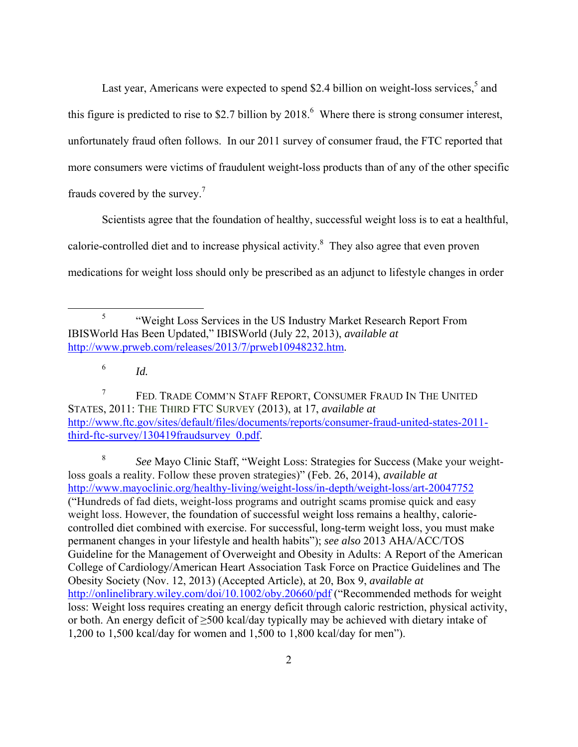Last year, Americans were expected to spend \$2.4 billion on weight-loss services, $5$  and this figure is predicted to rise to \$2.7 billion by  $2018<sup>6</sup>$  Where there is strong consumer interest, unfortunately fraud often follows. In our 2011 survey of consumer fraud, the FTC reported that more consumers were victims of fraudulent weight-loss products than of any of the other specific frauds covered by the survey.<sup>7</sup>

Scientists agree that the foundation of healthy, successful weight loss is to eat a healthful, calorie-controlled diet and to increase physical activity.<sup>8</sup> They also agree that even proven medications for weight loss should only be prescribed as an adjunct to lifestyle changes in order

7 FED. TRADE COMM'N STAFF REPORT, CONSUMER FRAUD IN THE UNITED STATES, 2011: THE THIRD FTC SURVEY (2013), at 17, *available at* http://www.ftc.gov/sites/default/files/documents/reports/consumer-fraud-united-states-2011 third-ftc-survey/130419fraudsurvey\_0.pdf.

8 *See* Mayo Clinic Staff, "Weight Loss: Strategies for Success (Make your weightloss goals a reality. Follow these proven strategies)" (Feb. 26, 2014), *available at*  http://www.mayoclinic.org/healthy-living/weight-loss/in-depth/weight-loss/art-20047752 ("Hundreds of fad diets, weight-loss programs and outright scams promise quick and easy weight loss. However, the foundation of successful weight loss remains a healthy, caloriecontrolled diet combined with exercise. For successful, long-term weight loss, you must make permanent changes in your lifestyle and health habits"); *see also* 2013 AHA/ACC/TOS Guideline for the Management of Overweight and Obesity in Adults: A Report of the American College of Cardiology/American Heart Association Task Force on Practice Guidelines and The Obesity Society (Nov. 12, 2013) (Accepted Article), at 20, Box 9, *available at* http://onlinelibrary.wiley.com/doi/10.1002/oby.20660/pdf ("Recommended methods for weight loss: Weight loss requires creating an energy deficit through caloric restriction, physical activity, or both. An energy deficit of ≥500 kcal/day typically may be achieved with dietary intake of 1,200 to 1,500 kcal/day for women and 1,500 to 1,800 kcal/day for men").

 $rac{1}{5}$  "Weight Loss Services in the US Industry Market Research Report From IBISWorld Has Been Updated," IBISWorld (July 22, 2013), *available at*  http://www.prweb.com/releases/2013/7/prweb10948232.htm.

<sup>6</sup> *Id.*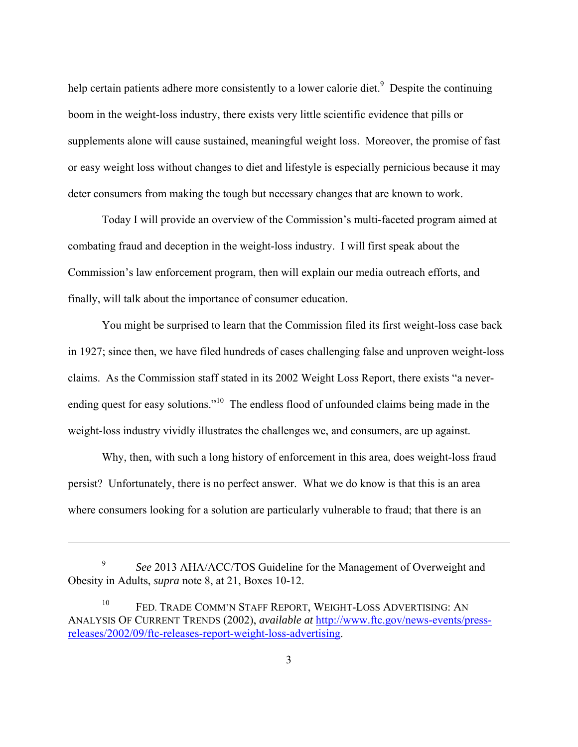help certain patients adhere more consistently to a lower calorie diet.<sup>9</sup> Despite the continuing boom in the weight-loss industry, there exists very little scientific evidence that pills or supplements alone will cause sustained, meaningful weight loss. Moreover, the promise of fast or easy weight loss without changes to diet and lifestyle is especially pernicious because it may deter consumers from making the tough but necessary changes that are known to work.

Today I will provide an overview of the Commission's multi-faceted program aimed at combating fraud and deception in the weight-loss industry. I will first speak about the Commission's law enforcement program, then will explain our media outreach efforts, and finally, will talk about the importance of consumer education.

You might be surprised to learn that the Commission filed its first weight-loss case back in 1927; since then, we have filed hundreds of cases challenging false and unproven weight-loss claims. As the Commission staff stated in its 2002 Weight Loss Report, there exists "a neverending quest for easy solutions."<sup>10</sup> The endless flood of unfounded claims being made in the weight-loss industry vividly illustrates the challenges we, and consumers, are up against.

Why, then, with such a long history of enforcement in this area, does weight-loss fraud persist? Unfortunately, there is no perfect answer. What we do know is that this is an area where consumers looking for a solution are particularly vulnerable to fraud; that there is an

 $\overline{a}$ 

 <sup>9</sup> <sup>9</sup> See 2013 AHA/ACC/TOS Guideline for the Management of Overweight and Obesity in Adults, *supra* note 8, at 21, Boxes 10-12.

<sup>&</sup>lt;sup>10</sup> FED. TRADE COMM'N STAFF REPORT, WEIGHT-LOSS ADVERTISING: AN ANALYSIS OF CURRENT TRENDS (2002), *available at* http://www.ftc.gov/news-events/pressreleases/2002/09/ftc-releases-report-weight-loss-advertising.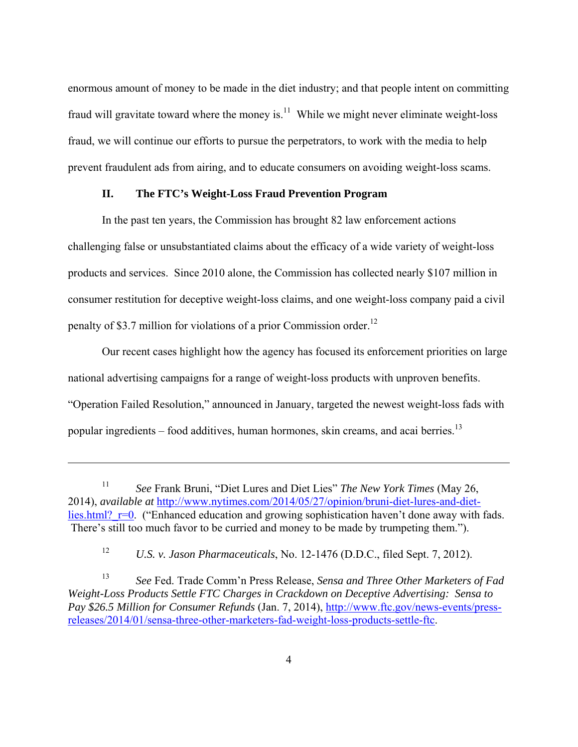enormous amount of money to be made in the diet industry; and that people intent on committing fraud will gravitate toward where the money is. $^{11}$  While we might never eliminate weight-loss fraud, we will continue our efforts to pursue the perpetrators, to work with the media to help prevent fraudulent ads from airing, and to educate consumers on avoiding weight-loss scams.

## **II. The FTC's Weight-Loss Fraud Prevention Program**

In the past ten years, the Commission has brought 82 law enforcement actions challenging false or unsubstantiated claims about the efficacy of a wide variety of weight-loss products and services. Since 2010 alone, the Commission has collected nearly \$107 million in consumer restitution for deceptive weight-loss claims, and one weight-loss company paid a civil penalty of \$3.7 million for violations of a prior Commission order.<sup>12</sup>

Our recent cases highlight how the agency has focused its enforcement priorities on large national advertising campaigns for a range of weight-loss products with unproven benefits. "Operation Failed Resolution," announced in January, targeted the newest weight-loss fads with popular ingredients – food additives, human hormones, skin creams, and acai berries.<sup>13</sup>

 $\overline{a}$ 

<sup>11</sup> *See* Frank Bruni, "Diet Lures and Diet Lies" *The New York Times* (May 26, 2014), *available at* http://www.nytimes.com/2014/05/27/opinion/bruni-diet-lures-and-dietlies.html?  $r=0$ . ("Enhanced education and growing sophistication haven't done away with fads. There's still too much favor to be curried and money to be made by trumpeting them.").

<sup>12</sup> *U.S. v. Jason Pharmaceuticals*, No. 12-1476 (D.D.C., filed Sept. 7, 2012).

<sup>13</sup> *See* Fed. Trade Comm'n Press Release, *Sensa and Three Other Marketers of Fad Weight-Loss Products Settle FTC Charges in Crackdown on Deceptive Advertising: Sensa to Pay \$26.5 Million for Consumer Refunds* (Jan. 7, 2014), http://www.ftc.gov/news-events/pressreleases/2014/01/sensa-three-other-marketers-fad-weight-loss-products-settle-ftc.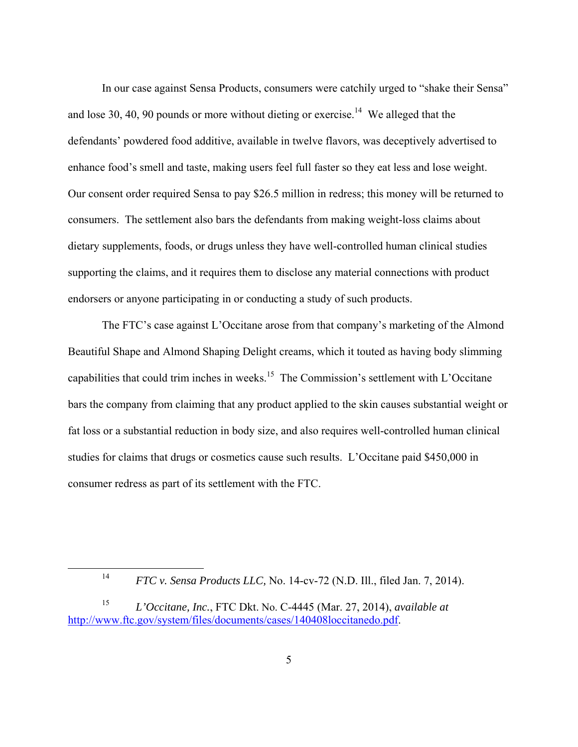In our case against Sensa Products, consumers were catchily urged to "shake their Sensa" and lose 30, 40, 90 pounds or more without dieting or exercise.<sup>14</sup> We alleged that the defendants' powdered food additive, available in twelve flavors, was deceptively advertised to enhance food's smell and taste, making users feel full faster so they eat less and lose weight. Our consent order required Sensa to pay \$26.5 million in redress; this money will be returned to consumers. The settlement also bars the defendants from making weight-loss claims about dietary supplements, foods, or drugs unless they have well-controlled human clinical studies supporting the claims, and it requires them to disclose any material connections with product endorsers or anyone participating in or conducting a study of such products.

The FTC's case against L'Occitane arose from that company's marketing of the Almond Beautiful Shape and Almond Shaping Delight creams, which it touted as having body slimming capabilities that could trim inches in weeks.<sup>15</sup> The Commission's settlement with L'Occitane bars the company from claiming that any product applied to the skin causes substantial weight or fat loss or a substantial reduction in body size, and also requires well-controlled human clinical studies for claims that drugs or cosmetics cause such results. L'Occitane paid \$450,000 in consumer redress as part of its settlement with the FTC.

<sup>14</sup> *FTC v. Sensa Products LLC, No.* 14-cv-72 (N.D. Ill., filed Jan. 7, 2014).

<sup>15</sup> *L'Occitane, Inc.*, FTC Dkt. No. C-4445 (Mar. 27, 2014), *available at*  http://www.ftc.gov/system/files/documents/cases/140408loccitanedo.pdf.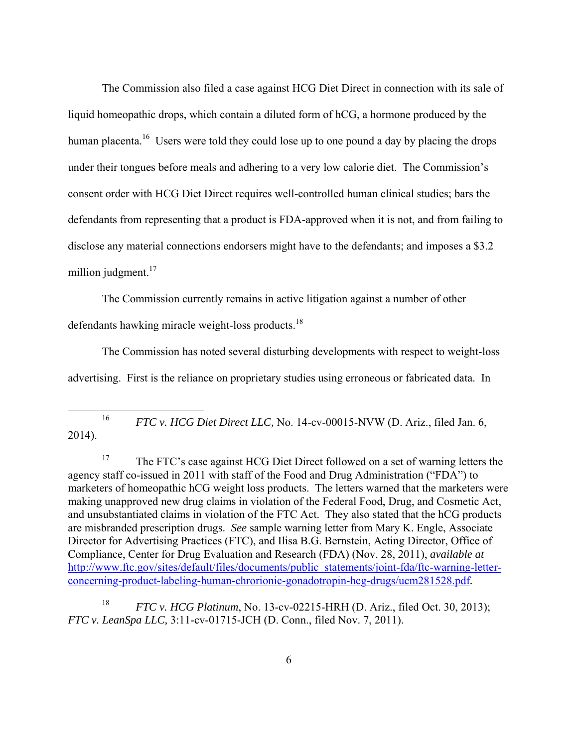The Commission also filed a case against HCG Diet Direct in connection with its sale of liquid homeopathic drops, which contain a diluted form of hCG, a hormone produced by the human placenta.<sup>16</sup> Users were told they could lose up to one pound a day by placing the drops under their tongues before meals and adhering to a very low calorie diet. The Commission's consent order with HCG Diet Direct requires well-controlled human clinical studies; bars the defendants from representing that a product is FDA-approved when it is not, and from failing to disclose any material connections endorsers might have to the defendants; and imposes a \$3.2 million judgment.<sup>17</sup>

The Commission currently remains in active litigation against a number of other defendants hawking miracle weight-loss products. $18$ 

The Commission has noted several disturbing developments with respect to weight-loss advertising. First is the reliance on proprietary studies using erroneous or fabricated data. In

<sup>16</sup> *FTC v. HCG Diet Direct LLC*, No. 14-cv-00015-NVW (D. Ariz., filed Jan. 6, 2014).

<sup>17</sup> The FTC's case against HCG Diet Direct followed on a set of warning letters the agency staff co-issued in 2011 with staff of the Food and Drug Administration ("FDA") to marketers of homeopathic hCG weight loss products. The letters warned that the marketers were making unapproved new drug claims in violation of the Federal Food, Drug, and Cosmetic Act, and unsubstantiated claims in violation of the FTC Act. They also stated that the hCG products are misbranded prescription drugs. *See* sample warning letter from Mary K. Engle, Associate Director for Advertising Practices (FTC), and Ilisa B.G. Bernstein, Acting Director, Office of Compliance, Center for Drug Evaluation and Research (FDA) (Nov. 28, 2011), *available at*  http://www.ftc.gov/sites/default/files/documents/public statements/joint-fda/ftc-warning-letterconcerning-product-labeling-human-chrorionic-gonadotropin-hcg-drugs/ucm281528.pdf*.* 

18 *FTC v. HCG Platinum*, No. 13-cv-02215-HRH (D. Ariz., filed Oct. 30, 2013); *FTC v. LeanSpa LLC,* 3:11-cv-01715-JCH (D. Conn., filed Nov. 7, 2011).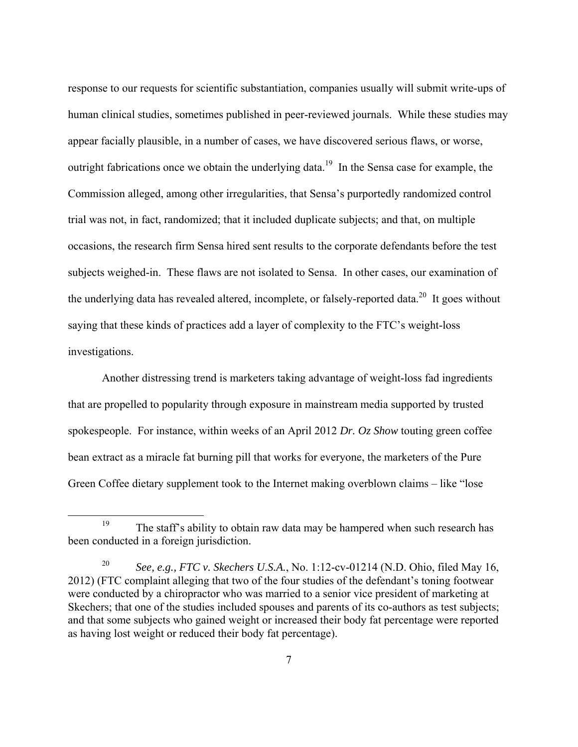response to our requests for scientific substantiation, companies usually will submit write-ups of human clinical studies, sometimes published in peer-reviewed journals. While these studies may appear facially plausible, in a number of cases, we have discovered serious flaws, or worse, outright fabrications once we obtain the underlying data.<sup>19</sup> In the Sensa case for example, the Commission alleged, among other irregularities, that Sensa's purportedly randomized control trial was not, in fact, randomized; that it included duplicate subjects; and that, on multiple occasions, the research firm Sensa hired sent results to the corporate defendants before the test subjects weighed-in. These flaws are not isolated to Sensa. In other cases, our examination of the underlying data has revealed altered, incomplete, or falsely-reported data.<sup>20</sup> It goes without saying that these kinds of practices add a layer of complexity to the FTC's weight-loss investigations.

Another distressing trend is marketers taking advantage of weight-loss fad ingredients that are propelled to popularity through exposure in mainstream media supported by trusted spokespeople. For instance, within weeks of an April 2012 *Dr. Oz Show* touting green coffee bean extract as a miracle fat burning pill that works for everyone, the marketers of the Pure Green Coffee dietary supplement took to the Internet making overblown claims – like "lose

<sup>&</sup>lt;sup>19</sup> The staff's ability to obtain raw data may be hampered when such research has been conducted in a foreign jurisdiction.

<sup>20</sup> *See, e.g., FTC v. Skechers U.S.A.*, No. 1:12-cv-01214 (N.D. Ohio, filed May 16, 2012) (FTC complaint alleging that two of the four studies of the defendant's toning footwear were conducted by a chiropractor who was married to a senior vice president of marketing at Skechers; that one of the studies included spouses and parents of its co-authors as test subjects; and that some subjects who gained weight or increased their body fat percentage were reported as having lost weight or reduced their body fat percentage).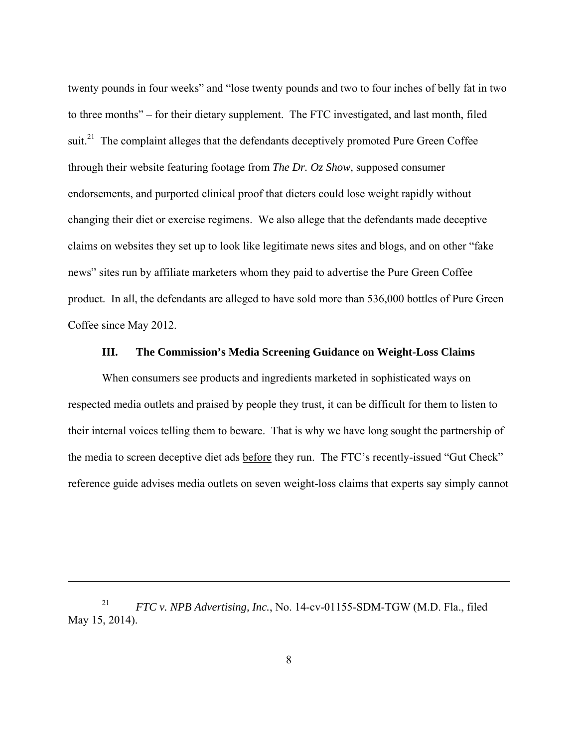twenty pounds in four weeks" and "lose twenty pounds and two to four inches of belly fat in two to three months" – for their dietary supplement. The FTC investigated, and last month, filed suit.<sup>21</sup> The complaint alleges that the defendants deceptively promoted Pure Green Coffee through their website featuring footage from *The Dr. Oz Show,* supposed consumer endorsements, and purported clinical proof that dieters could lose weight rapidly without changing their diet or exercise regimens. We also allege that the defendants made deceptive claims on websites they set up to look like legitimate news sites and blogs, and on other "fake news" sites run by affiliate marketers whom they paid to advertise the Pure Green Coffee product. In all, the defendants are alleged to have sold more than 536,000 bottles of Pure Green Coffee since May 2012.

#### **III. The Commission's Media Screening Guidance on Weight-Loss Claims**

When consumers see products and ingredients marketed in sophisticated ways on respected media outlets and praised by people they trust, it can be difficult for them to listen to their internal voices telling them to beware. That is why we have long sought the partnership of the media to screen deceptive diet ads before they run. The FTC's recently-issued "Gut Check" reference guide advises media outlets on seven weight-loss claims that experts say simply cannot

 $\overline{a}$ 

<sup>21</sup> *FTC v. NPB Advertising, Inc.*, No. 14-cv-01155-SDM-TGW (M.D. Fla., filed May 15, 2014).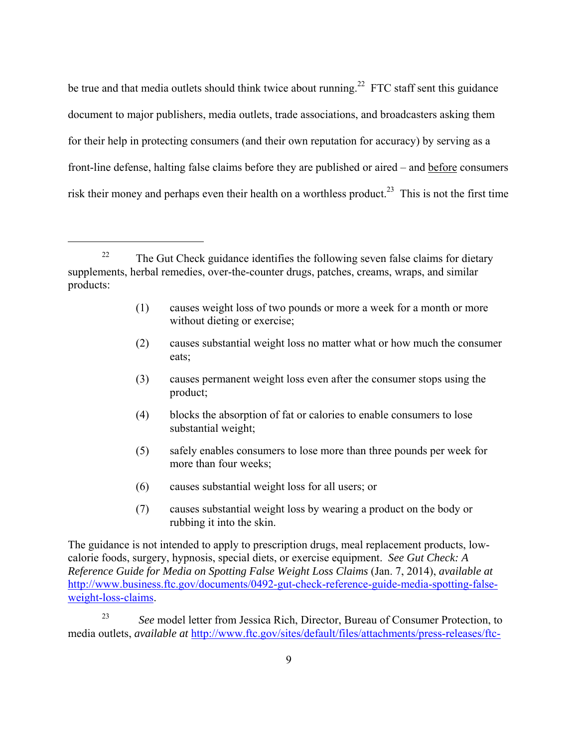be true and that media outlets should think twice about running.<sup>22</sup> FTC staff sent this guidance document to major publishers, media outlets, trade associations, and broadcasters asking them for their help in protecting consumers (and their own reputation for accuracy) by serving as a front-line defense, halting false claims before they are published or aired – and before consumers risk their money and perhaps even their health on a worthless product.<sup>23</sup> This is not the first time

 $\overline{a}$ 

- (1) causes weight loss of two pounds or more a week for a month or more without dieting or exercise;
- (2) causes substantial weight loss no matter what or how much the consumer eats;
- (3) causes permanent weight loss even after the consumer stops using the product;
- (4) blocks the absorption of fat or calories to enable consumers to lose substantial weight;
- (5) safely enables consumers to lose more than three pounds per week for more than four weeks;
- (6) causes substantial weight loss for all users; or
- (7) causes substantial weight loss by wearing a product on the body or rubbing it into the skin.

The guidance is not intended to apply to prescription drugs, meal replacement products, lowcalorie foods, surgery, hypnosis, special diets, or exercise equipment. *See Gut Check: A Reference Guide for Media on Spotting False Weight Loss Claims* (Jan. 7, 2014), *available at* http://www.business.ftc.gov/documents/0492-gut-check-reference-guide-media-spotting-falseweight-loss-claims.

23 *See* model letter from Jessica Rich, Director, Bureau of Consumer Protection, to media outlets, *available at* http://www.ftc.gov/sites/default/files/attachments/press-releases/ftc-

<sup>&</sup>lt;sup>22</sup> The Gut Check guidance identifies the following seven false claims for dietary supplements, herbal remedies, over-the-counter drugs, patches, creams, wraps, and similar products: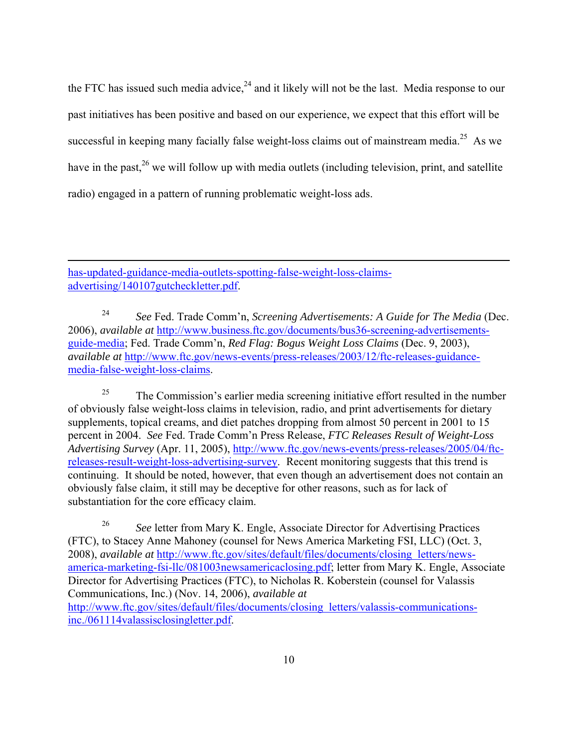the FTC has issued such media advice, $24$  and it likely will not be the last. Media response to our past initiatives has been positive and based on our experience, we expect that this effort will be successful in keeping many facially false weight-loss claims out of mainstream media.<sup>25</sup> As we have in the past,  $26$  we will follow up with media outlets (including television, print, and satellite radio) engaged in a pattern of running problematic weight-loss ads.

has-updated-guidance-media-outlets-spotting-false-weight-loss-claimsadvertising/140107gutcheckletter.pdf.

 $\overline{a}$ 

24 *See* Fed. Trade Comm'n, *Screening Advertisements: A Guide for The Media* (Dec. 2006), *available at* http://www.business.ftc.gov/documents/bus36-screening-advertisementsguide-media; Fed. Trade Comm'n, *Red Flag: Bogus Weight Loss Claims* (Dec. 9, 2003), *available at* http://www.ftc.gov/news-events/press-releases/2003/12/ftc-releases-guidancemedia-false-weight-loss-claims.

 $25$  The Commission's earlier media screening initiative effort resulted in the number of obviously false weight-loss claims in television, radio, and print advertisements for dietary supplements, topical creams, and diet patches dropping from almost 50 percent in 2001 to 15 percent in 2004. *See* Fed. Trade Comm'n Press Release, *FTC Releases Result of Weight-Loss Advertising Survey* (Apr. 11, 2005), http://www.ftc.gov/news-events/press-releases/2005/04/ftcreleases-result-weight-loss-advertising-survey. Recent monitoring suggests that this trend is continuing. It should be noted, however, that even though an advertisement does not contain an obviously false claim, it still may be deceptive for other reasons, such as for lack of substantiation for the core efficacy claim.

26 26 *See* letter from Mary K. Engle, Associate Director for Advertising Practices (FTC), to Stacey Anne Mahoney (counsel for News America Marketing FSI, LLC) (Oct. 3, 2008), *available at* http://www.ftc.gov/sites/default/files/documents/closing letters/newsamerica-marketing-fsi-llc/081003newsamericaclosing.pdf; letter from Mary K. Engle, Associate Director for Advertising Practices (FTC), to Nicholas R. Koberstein (counsel for Valassis Communications, Inc.) (Nov. 14, 2006), *available at*  http://www.ftc.gov/sites/default/files/documents/closing letters/valassis-communicationsinc./061114valassisclosingletter.pdf.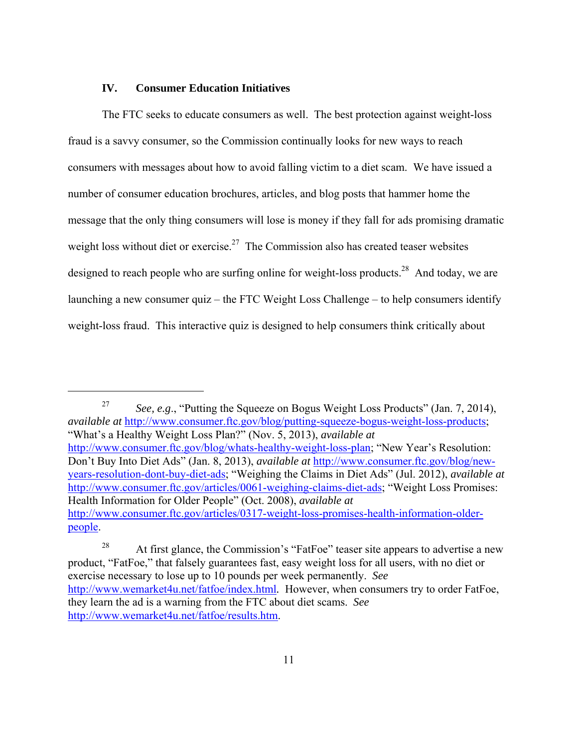### **IV. Consumer Education Initiatives**

 $\overline{a}$ 

The FTC seeks to educate consumers as well. The best protection against weight-loss fraud is a savvy consumer, so the Commission continually looks for new ways to reach consumers with messages about how to avoid falling victim to a diet scam. We have issued a number of consumer education brochures, articles, and blog posts that hammer home the message that the only thing consumers will lose is money if they fall for ads promising dramatic weight loss without diet or exercise.<sup>27</sup> The Commission also has created teaser websites designed to reach people who are surfing online for weight-loss products.<sup>28</sup> And today, we are launching a new consumer quiz – the FTC Weight Loss Challenge – to help consumers identify weight-loss fraud. This interactive quiz is designed to help consumers think critically about

27 *See, e.g*., "Putting the Squeeze on Bogus Weight Loss Products" (Jan. 7, 2014), *available at* http://www.consumer.ftc.gov/blog/putting-squeeze-bogus-weight-loss-products; "What's a Healthy Weight Loss Plan?" (Nov. 5, 2013), *available at* http://www.consumer.ftc.gov/blog/whats-healthy-weight-loss-plan; "New Year's Resolution: Don't Buy Into Diet Ads" (Jan. 8, 2013), *available at* http://www.consumer.ftc.gov/blog/newyears-resolution-dont-buy-diet-ads; "Weighing the Claims in Diet Ads" (Jul. 2012), *available at* http://www.consumer.ftc.gov/articles/0061-weighing-claims-diet-ads; "Weight Loss Promises: Health Information for Older People" (Oct. 2008), *available at* http://www.consumer.ftc.gov/articles/0317-weight-loss-promises-health-information-olderpeople.

<sup>&</sup>lt;sup>28</sup> At first glance, the Commission's "FatFoe" teaser site appears to advertise a new product, "FatFoe," that falsely guarantees fast, easy weight loss for all users, with no diet or exercise necessary to lose up to 10 pounds per week permanently. *See*  http://www.wemarket4u.net/fatfoe/index.html*.* However, when consumers try to order FatFoe, they learn the ad is a warning from the FTC about diet scams. *See*  http://www.wemarket4u.net/fatfoe/results.htm.